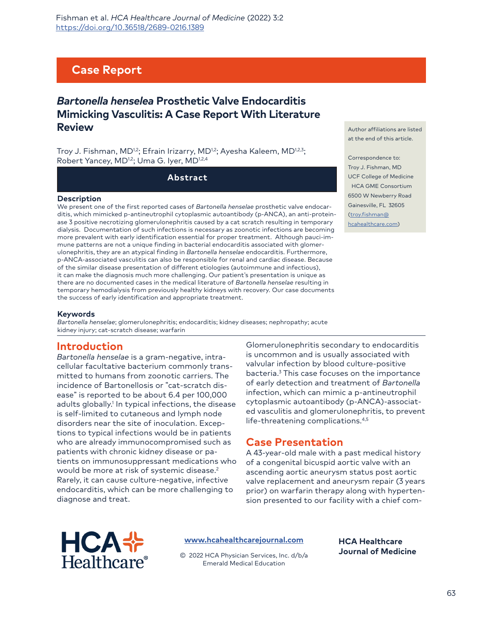# **Case Report**

# *Bartonella henselea* **Prosthetic Valve Endocarditis Mimicking Vasculitis: A Case Report With Literature Review**

Troy J. Fishman, MD<sup>1,2</sup>; Efrain Irizarry, MD<sup>1,2</sup>; Ayesha Kaleem, MD<sup>1,2,3</sup>; Robert Yancey, MD<sup>1,2</sup>; Uma G. Iyer, MD<sup>1,2,4</sup>

**Abstract**

#### **Description**

We present one of the first reported cases of *Bartonella henselae* prosthetic valve endocarditis, which mimicked p-antineutrophil cytoplasmic autoantibody (p-ANCA), an anti-proteinase 3 positive necrotizing glomerulonephritis caused by a cat scratch resulting in temporary dialysis. Documentation of such infections is necessary as zoonotic infections are becoming more prevalent with early identification essential for proper treatment. Although pauci-immune patterns are not a unique finding in bacterial endocarditis associated with glomerulonephritis, they are an atypical finding in *Bartonella henselae* endocarditis. Furthermore, p-ANCA-associated vasculitis can also be responsible for renal and cardiac disease. Because of the similar disease presentation of different etiologies (autoimmune and infectious), it can make the diagnosis much more challenging. Our patient's presentation is unique as there are no documented cases in the medical literature of *Bartonella henselae* resulting in temporary hemodialysis from previously healthy kidneys with recovery. Our case documents the success of early identification and appropriate treatment.

Author affiliations are listed at the end of this article.

Correspondence to: Troy J. Fishman, MD UCF College of Medicine HCA GME Consortium 6500 W Newberry Road [Gainesville, FL 3](mailto:troy.fishman@hcahealthcare.com)2605 [\(troy.fishman@](mailto:troy.fishman@hcahealthcare.com) hcahealthcare.com)

#### **Keywords**

*Bartonella henselae*; glomerulonephritis; endocarditis; kidney diseases; nephropathy; acute kidney injury; cat-scratch disease; warfarin

## **Introduction**

*Bartonella henselae* is a gram-negative, intracellular facultative bacterium commonly transmitted to humans from zoonotic carriers. The incidence of Bartonellosis or "cat-scratch disease" is reported to be about 6.4 per 100,000 adults globally.<sup>1</sup> In typical infections, the disease is self-limited to cutaneous and lymph node disorders near the site of inoculation. Exceptions to typical infections would be in patients who are already immunocompromised such as patients with chronic kidney disease or patients on immunosuppressant medications who would be more at risk of systemic disease.2 Rarely, it can cause culture-negative, infective endocarditis, which can be more challenging to diagnose and treat.

Glomerulonephritis secondary to endocarditis is uncommon and is usually associated with valvular infection by blood culture-positive bacteria.3 This case focuses on the importance of early detection and treatment of *Bartonella* infection, which can mimic a p-antineutrophil cytoplasmic autoantibody (p-ANCA)-associated vasculitis and glomerulonephritis, to prevent life-threatening complications.<sup>4,5</sup>

## **Case Presentation**

A 43-year-old male with a past medical history of a congenital bicuspid aortic valve with an ascending aortic aneurysm status post aortic valve replacement and aneurysm repair (3 years prior) on warfarin therapy along with hypertension presented to our facility with a chief com-



#### **[www.hcahealthcarejournal.com](http://www.hcahealthcarejournal.com)**

© 2022 HCA Physician Services, Inc. d/b/a Emerald Medical Education

**HCA Healthcare Journal of Medicine**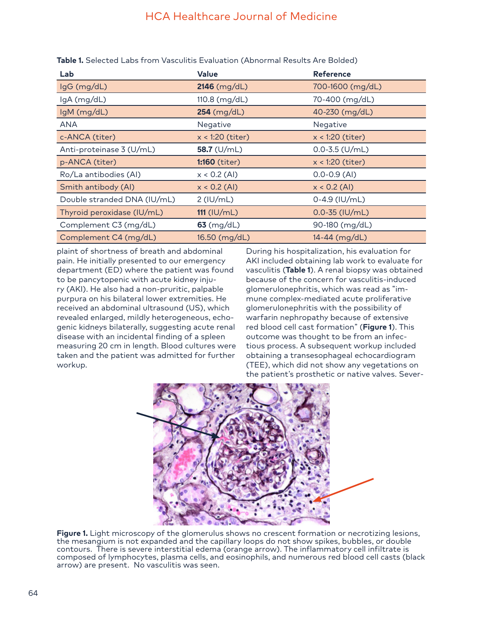# HCA Healthcare Journal of Medicine

| Lab                         | <b>Value</b>         | <b>Reference</b>   |
|-----------------------------|----------------------|--------------------|
| lgG (mg/dL)                 | $2146$ (mg/dL)       | 700-1600 (mg/dL)   |
| $lgA$ (mg/dL)               | 110.8 $(mg/dL)$      | 70-400 (mg/dL)     |
| IgM (mg/dL)                 | $254 \ (mg/dL)$      | 40-230 (mg/dL)     |
| <b>ANA</b>                  | Negative             | Negative           |
| c-ANCA (titer)              | $x < 1:20$ (titer)   | $x < 1:20$ (titer) |
| Anti-proteinase 3 (U/mL)    | 58.7 $(U/mL)$        | $0.0 - 3.5$ (U/mL) |
| p-ANCA (titer)              | <b>1:160</b> (titer) | $x < 1:20$ (titer) |
| Ro/La antibodies (AI)       | $x < 0.2$ (AI)       | $0.0 - 0.9$ (AI)   |
| Smith antibody (AI)         | $x < 0.2$ (AI)       | $x < 0.2$ (AI)     |
| Double stranded DNA (IU/mL) | $2$ (IU/mL)          | $0-4.9$ (IU/mL)    |
| Thyroid peroxidase (IU/mL)  | $111$ (IU/mL)        | $0.0 - 35$ (IU/mL) |
| Complement C3 (mg/dL)       | $63$ (mg/dL)         | 90-180 (mg/dL)     |
| Complement C4 (mg/dL)       | 16.50 (mg/dL)        | 14-44 (mg/dL)      |

**Table 1.** Selected Labs from Vasculitis Evaluation (Abnormal Results Are Bolded)

plaint of shortness of breath and abdominal pain. He initially presented to our emergency department (ED) where the patient was found to be pancytopenic with acute kidney injury (AKI). He also had a non-pruritic, palpable purpura on his bilateral lower extremities. He received an abdominal ultrasound (US), which revealed enlarged, mildly heterogeneous, echogenic kidneys bilaterally, suggesting acute renal disease with an incidental finding of a spleen measuring 20 cm in length. Blood cultures were taken and the patient was admitted for further workup.

During his hospitalization, his evaluation for AKI included obtaining lab work to evaluate for vasculitis (**Table 1**). A renal biopsy was obtained because of the concern for vasculitis-induced glomerulonephritis, which was read as "immune complex-mediated acute proliferative glomerulonephritis with the possibility of warfarin nephropathy because of extensive red blood cell cast formation" (**Figure 1**). This outcome was thought to be from an infectious process. A subsequent workup included obtaining a transesophageal echocardiogram (TEE), which did not show any vegetations on the patient's prosthetic or native valves. Sever-



**Figure 1.** Light microscopy of the glomerulus shows no crescent formation or necrotizing lesions, the mesangium is not expanded and the capillary loops do not show spikes, bubbles, or double contours. There is severe interstitial edema (orange arrow). The inflammatory cell infiltrate is composed of lymphocytes, plasma cells, and eosinophils, and numerous red blood cell casts (black arrow) are present. No vasculitis was seen.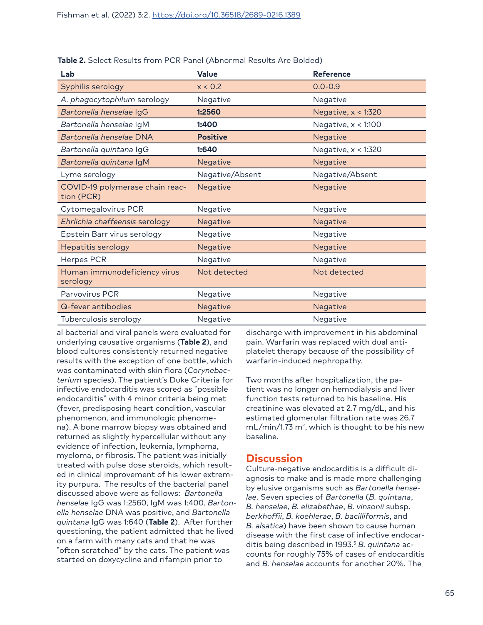| Lab                                           | <b>Value</b>    | <b>Reference</b>      |
|-----------------------------------------------|-----------------|-----------------------|
| Syphilis serology                             | x < 0.2         | $0.0 - 0.9$           |
| A. phagocytophilum serology                   | Negative        | Negative              |
| Bartonella henselae IgG                       | 1:2560          | Negative, $x < 1:320$ |
| Bartonella henselae IgM                       | 1:400           | Negative, $x < 1:100$ |
| Bartonella henselae DNA                       | <b>Positive</b> | Negative              |
| Bartonella quintana IgG                       | 1:640           | Negative, $x < 1:320$ |
| Bartonella quintana IgM                       | Negative        | Negative              |
| Lyme serology                                 | Negative/Absent | Negative/Absent       |
| COVID-19 polymerase chain reac-<br>tion (PCR) | Negative        | Negative              |
| Cytomegalovirus PCR                           | Negative        | Negative              |
| Ehrlichia chaffeensis serology                | Negative        | Negative              |
| Epstein Barr virus serology                   | Negative        | Negative              |
| Hepatitis serology                            | Negative        | Negative              |
| <b>Herpes PCR</b>                             | Negative        | Negative              |
| Human immunodeficiency virus<br>serology      | Not detected    | Not detected          |
| Parvovirus PCR                                | Negative        | Negative              |
| Q-fever antibodies                            | Negative        | Negative              |
| Tuberculosis serology                         | Negative        | Negative              |

**Table 2.** Select Results from PCR Panel (Abnormal Results Are Bolded)

al bacterial and viral panels were evaluated for underlying causative organisms (**Table 2**), and blood cultures consistently returned negative results with the exception of one bottle, which was contaminated with skin flora (*Corynebacterium* species). The patient's Duke Criteria for infective endocarditis was scored as "possible endocarditis" with 4 minor criteria being met (fever, predisposing heart condition, vascular phenomenon, and immunologic phenomena). A bone marrow biopsy was obtained and returned as slightly hypercellular without any evidence of infection, leukemia, lymphoma, myeloma, or fibrosis. The patient was initially treated with pulse dose steroids, which resulted in clinical improvement of his lower extremity purpura. The results of the bacterial panel discussed above were as follows: *Bartonella henselae* IgG was 1:2560, IgM was 1:400, *Bartonella henselae* DNA was positive, and *Bartonella quintana* IgG was 1:640 (**Table 2**). After further questioning, the patient admitted that he lived on a farm with many cats and that he was "often scratched" by the cats. The patient was started on doxycycline and rifampin prior to

discharge with improvement in his abdominal pain. Warfarin was replaced with dual antiplatelet therapy because of the possibility of warfarin-induced nephropathy.

Two months after hospitalization, the patient was no longer on hemodialysis and liver function tests returned to his baseline. His creatinine was elevated at 2.7 mg/dL, and his estimated glomerular filtration rate was 26.7  $mL/min/1.73 m<sup>2</sup>$ , which is thought to be his new baseline.

## **Discussion**

Culture-negative endocarditis is a difficult diagnosis to make and is made more challenging by elusive organisms such as *Bartonella henselae*. Seven species of *Bartonella* (*B. quintana*, *B. henselae*, *B. elizabethae*, *B. vinsonii* subsp. *berkhoffii*, *B. koehlerae*, *B. bacilliformis*, and *B. alsatica*) have been shown to cause human disease with the first case of infective endocarditis being described in 1993.<sup>5</sup> B. quintana accounts for roughly 75% of cases of endocarditis and *B. henselae* accounts for another 20%. The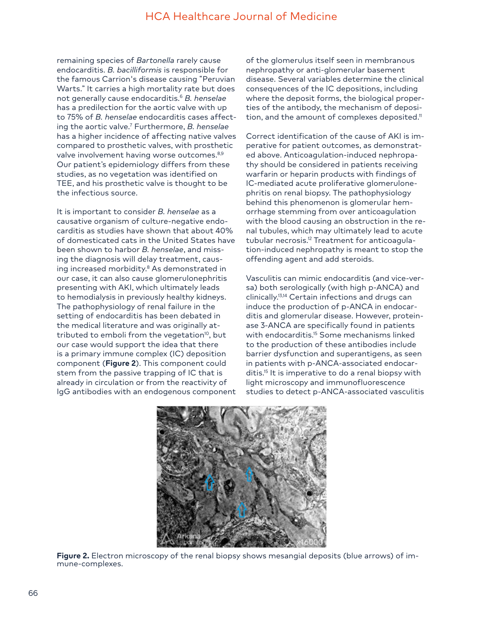## HCA Healthcare Journal of Medicine

remaining species of *Bartonella* rarely cause endocarditis. *B. bacilliformis* is responsible for the famous Carrion's disease causing "Peruvian Warts." It carries a high mortality rate but does not generally cause endocarditis.6 *B. henselae* has a predilection for the aortic valve with up to 75% of *B. henselae* endocarditis cases affecting the aortic valve.7 Furthermore, *B. henselae*  has a higher incidence of affecting native valves compared to prosthetic valves, with prosthetic valve involvement having worse outcomes.<sup>8,9</sup> Our patient's epidemiology differs from these studies, as no vegetation was identified on TEE, and his prosthetic valve is thought to be the infectious source.

It is important to consider *B. henselae* as a causative organism of culture-negative endocarditis as studies have shown that about 40% of domesticated cats in the United States have been shown to harbor *B. henselae*, and missing the diagnosis will delay treatment, causing increased morbidity.<sup>8</sup> As demonstrated in our case, it can also cause glomerulonephritis presenting with AKI, which ultimately leads to hemodialysis in previously healthy kidneys. The pathophysiology of renal failure in the setting of endocarditis has been debated in the medical literature and was originally attributed to emboli from the vegetation<sup>10</sup>, but our case would support the idea that there is a primary immune complex (IC) deposition component (**Figure 2**). This component could stem from the passive trapping of IC that is already in circulation or from the reactivity of IgG antibodies with an endogenous component of the glomerulus itself seen in membranous nephropathy or anti-glomerular basement disease. Several variables determine the clinical consequences of the IC depositions, including where the deposit forms, the biological properties of the antibody, the mechanism of deposition, and the amount of complexes deposited.<sup>11</sup>

Correct identification of the cause of AKI is imperative for patient outcomes, as demonstrated above. Anticoagulation-induced nephropathy should be considered in patients receiving warfarin or heparin products with findings of IC-mediated acute proliferative glomerulonephritis on renal biopsy. The pathophysiology behind this phenomenon is glomerular hemorrhage stemming from over anticoagulation with the blood causing an obstruction in the renal tubules, which may ultimately lead to acute tubular necrosis.<sup>12</sup> Treatment for anticoagulation-induced nephropathy is meant to stop the offending agent and add steroids.

Vasculitis can mimic endocarditis (and vice-versa) both serologically (with high p-ANCA) and clinically.13,14 Certain infections and drugs can induce the production of p-ANCA in endocarditis and glomerular disease. However, proteinase 3-ANCA are specifically found in patients with endocarditis.<sup>15</sup> Some mechanisms linked to the production of these antibodies include barrier dysfunction and superantigens, as seen in patients with p-ANCA-associated endocarditis.15 It is imperative to do a renal biopsy with light microscopy and immunofluorescence studies to detect p-ANCA-associated vasculitis



**Figure 2.** Electron microscopy of the renal biopsy shows mesangial deposits (blue arrows) of immune-complexes.